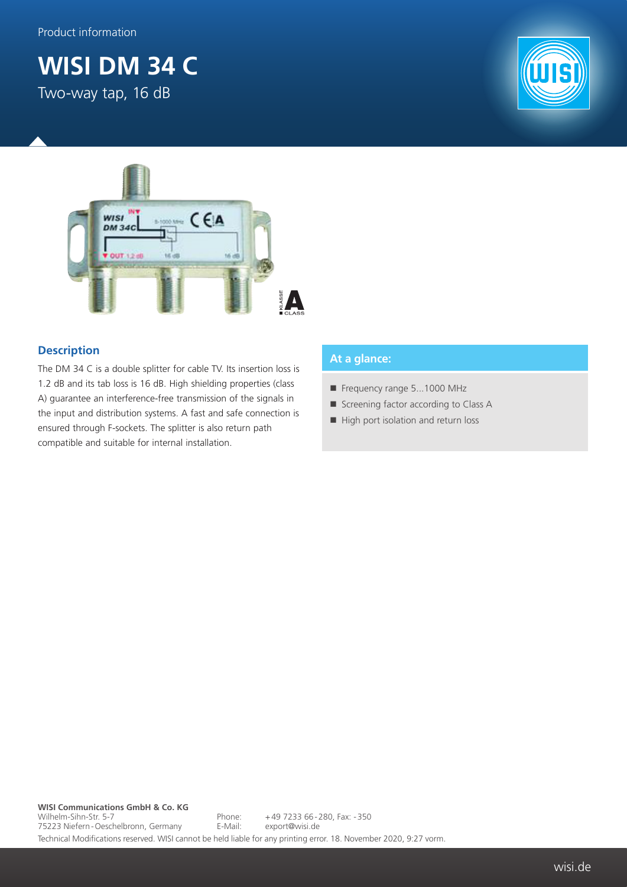## **WISI DM 34 C**

Two-way tap, 16 dB





## **Description**

The DM 34 C is a double splitter for cable TV. Its insertion loss is 1.2 dB and its tab loss is 16 dB. High shielding properties (class A) guarantee an interference-free transmission of the signals in the input and distribution systems. A fast and safe connection is ensured through F-sockets. The splitter is also return path compatible and suitable for internal installation.

## **At a glance:**

- Frequency range 5...1000 MHz
- Screening factor according to Class A
- High port isolation and return loss